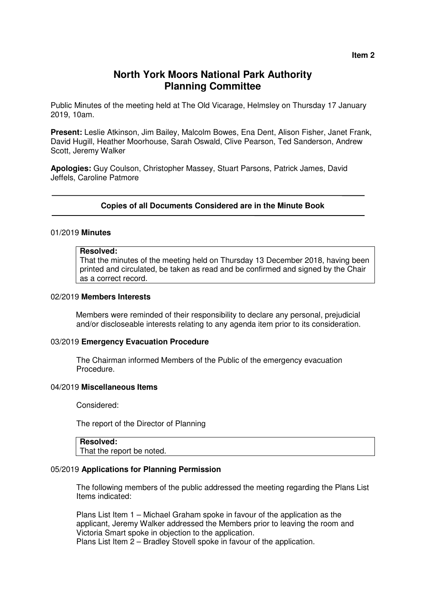# **North York Moors National Park Authority Planning Committee**

Public Minutes of the meeting held at The Old Vicarage, Helmsley on Thursday 17 January 2019, 10am.

**Present:** Leslie Atkinson, Jim Bailey, Malcolm Bowes, Ena Dent, Alison Fisher, Janet Frank, David Hugill, Heather Moorhouse, Sarah Oswald, Clive Pearson, Ted Sanderson, Andrew Scott, Jeremy Walker

**Apologies:** Guy Coulson, Christopher Massey, Stuart Parsons, Patrick James, David Jeffels, Caroline Patmore

#### **Copies of all Documents Considered are in the Minute Book**

### 01/2019 **Minutes**

#### **Resolved:**

That the minutes of the meeting held on Thursday 13 December 2018, having been printed and circulated, be taken as read and be confirmed and signed by the Chair as a correct record.

#### 02/2019 **Members Interests**

Members were reminded of their responsibility to declare any personal, prejudicial and/or discloseable interests relating to any agenda item prior to its consideration.

#### 03/2019 **Emergency Evacuation Procedure**

The Chairman informed Members of the Public of the emergency evacuation Procedure.

#### 04/2019 **Miscellaneous Items**

Considered:

The report of the Director of Planning

## **Resolved:**

That the report be noted.

#### 05/2019 **Applications for Planning Permission**

 The following members of the public addressed the meeting regarding the Plans List Items indicated:

 Plans List Item 1 – Michael Graham spoke in favour of the application as the applicant, Jeremy Walker addressed the Members prior to leaving the room and Victoria Smart spoke in objection to the application.

Plans List Item 2 – Bradley Stovell spoke in favour of the application.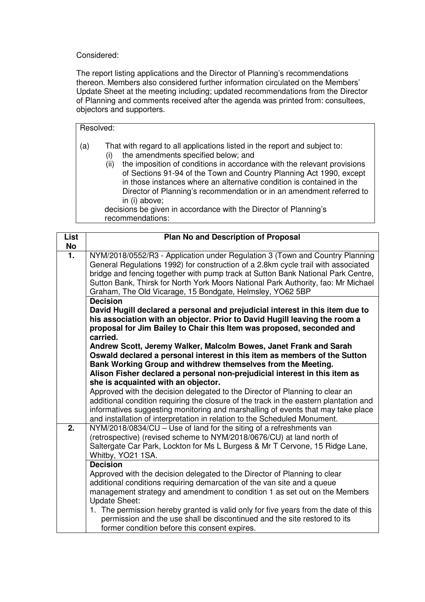## Considered:

The report listing applications and the Director of Planning's recommendations thereon. Members also considered further information circulated on the Members' Update Sheet at the meeting including; updated recommendations from the Director of Planning and comments received after the agenda was printed from: consultees, objectors and supporters.

## Resolved:

- (a) That with regard to all applications listed in the report and subject to:
	- (i) the amendments specified below; and
	- (ii) the imposition of conditions in accordance with the relevant provisions of Sections 91-94 of the Town and Country Planning Act 1990, except in those instances where an alternative condition is contained in the Director of Planning's recommendation or in an amendment referred to in (i) above;

 decisions be given in accordance with the Director of Planning's recommendations:

| <b>List</b>      | Plan No and Description of Proposal                                                                                                                                                                                                                                                                                                                                                                                                                                                                                                                                 |
|------------------|---------------------------------------------------------------------------------------------------------------------------------------------------------------------------------------------------------------------------------------------------------------------------------------------------------------------------------------------------------------------------------------------------------------------------------------------------------------------------------------------------------------------------------------------------------------------|
| No               |                                                                                                                                                                                                                                                                                                                                                                                                                                                                                                                                                                     |
| $\overline{1}$ . | NYM/2018/0552/R3 - Application under Regulation 3 (Town and Country Planning<br>General Regulations 1992) for construction of a 2.8km cycle trail with associated<br>bridge and fencing together with pump track at Sutton Bank National Park Centre,<br>Sutton Bank, Thirsk for North York Moors National Park Authority, fao: Mr Michael<br>Graham, The Old Vicarage, 15 Bondgate, Helmsley, YO62 5BP                                                                                                                                                             |
|                  | <b>Decision</b><br>David Hugill declared a personal and prejudicial interest in this item due to<br>his association with an objector. Prior to David Hugill leaving the room a<br>proposal for Jim Bailey to Chair this Item was proposed, seconded and<br>carried.<br>Andrew Scott, Jeremy Walker, Malcolm Bowes, Janet Frank and Sarah<br>Oswald declared a personal interest in this item as members of the Sutton<br>Bank Working Group and withdrew themselves from the Meeting.<br>Alison Fisher declared a personal non-prejudicial interest in this item as |
|                  | she is acquainted with an objector.                                                                                                                                                                                                                                                                                                                                                                                                                                                                                                                                 |
|                  | Approved with the decision delegated to the Director of Planning to clear an<br>additional condition requiring the closure of the track in the eastern plantation and<br>informatives suggesting monitoring and marshalling of events that may take place<br>and installation of interpretation in relation to the Scheduled Monument.                                                                                                                                                                                                                              |
| 2.               | NYM/2018/0834/CU - Use of land for the siting of a refreshments van<br>(retrospective) (revised scheme to NYM/2018/0676/CU) at land north of<br>Saltergate Car Park, Lockton for Ms L Burgess & Mr T Cervone, 15 Ridge Lane,<br>Whitby, YO21 1SA.                                                                                                                                                                                                                                                                                                                   |
|                  | <b>Decision</b><br>Approved with the decision delegated to the Director of Planning to clear<br>additional conditions requiring demarcation of the van site and a queue<br>management strategy and amendment to condition 1 as set out on the Members<br><b>Update Sheet:</b><br>1. The permission hereby granted is valid only for five years from the date of this<br>permission and the use shall be discontinued and the site restored to its<br>former condition before this consent expires.                                                                  |